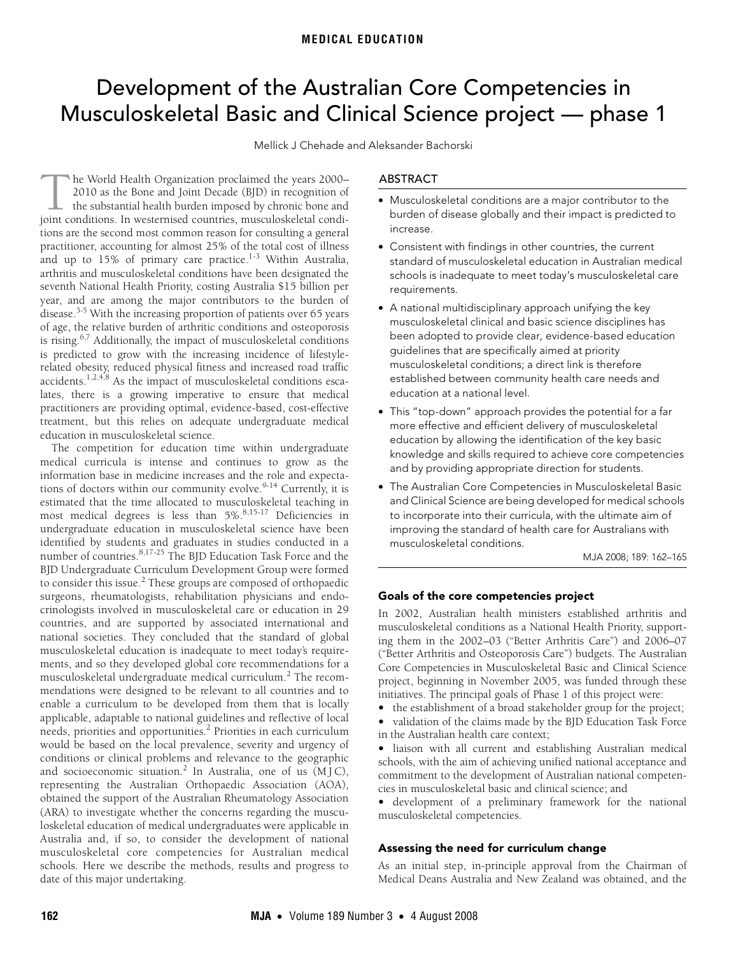# <span id="page-0-0"></span>Development of the Australian Core Competencies in Musculoskeletal Basic and Clinical Science project — phase 1

Mellick J Chehade and Aleksander Bachorski

atumus and musculoskeletal conditions have been designated the<br>seventh National Health Priorit[y, co](#page-0-0)[sting](#page-3-12) Australia \$15 billion per th National Ficaliff 1 Honty, costin year, and are among the major contributors to the burden of disease.<sup>3-[5](#page-3-2)</sup> With the increasing proportion of patients over 65 years of age, the relative burden of arthritic conditions and osteoporosis he World Health Organization proclaimed the years 2000– 2010 as the Bone and Joint Decade (BJD) in recognition of the substantial health burden imposed by chronic bone and The World Health Organization proclaimed the years 2000–2010 as the Bone and Joint Decade (BJD) in recognition of the substantial health burden imposed by chronic bone and joint conditions. In westernised countries, muscul tions are the second most common reason for consulting a general practitioner, accounting for almost 25% of the total cost of illness and up to  $15\%$  of primary care practice.<sup>1-[3](#page-3-1)</sup> Within Australia, arthritis and musculoskeletal conditions have been designated the is rising.<sup>6,7</sup> Additionally, the impact of musculoskeletal conditions is predicted to grow with the increasing incidence of lifestylerelated obesity, reduced physical fitness and increased road traffic accidents.<sup>[1,](#page-3-0)[2](#page-3-5),[4](#page-3-6),8</sup> As the impact of musculoskeletal conditions escalates, there is a growing imperative to ensure that medical practitioners are providing optimal, evidence-based, cost-effective treatment, but this relies on adequate undergraduate medical education in musculoskeletal science.

The competition for education time within undergraduate medical curricula is intense and continues to grow as the information base in medicine increases and the role and expecta-tions of doctors within our community evolve.<sup>[9-](#page-3-8)14</sup> Currently, it is estimated that the time allocated to musculoskeletal teaching in most medical degrees is less than  $5\%$ .<sup>8,[15](#page-3-10)-17</sup> Deficiencies in undergraduate education in musculoskeletal science have been identified by students and graduates in studies conducted in a number of countries.<sup>[8,](#page-3-7)[17-](#page-3-11)25</sup> The BJD Education Task Force and the BJD Undergraduate Curriculum Development Group were formed to consider this issue.<sup>[2](#page-3-5)</sup> These groups are composed of orthopaedic surgeons, rheumatologists, rehabilitation physicians and endocrinologists involved in musculoskeletal care or education in 29 countries, and are supported by associated international and national societies. They concluded that the standard of global musculoskeletal education is inadequate to meet today's requirements, and so they developed global core recommendations for a musculoskeletal undergraduate medical curriculum.<sup>[2](#page-3-5)</sup> The recommendations were designed to be relevant to all countries and to enable a curriculum to be developed from them that is locally applicable, adaptable to national guidelines and reflective of local needs, priorities and opportunities.<sup>[2](#page-3-5)</sup> Priorities in each curriculum would be based on the local prevalence, severity and urgency of conditions or clinical problems and relevance to the geographic and socioeconomic situation.<sup>[2](#page-3-5)</sup> In Australia, one of us  $(MJC)$ , representing the Australian Orthopaedic Association (AOA), obtained the support of the Australian Rheumatology Association (ARA) to investigate whether the concerns regarding the musculoskeletal education of medical undergraduates were applicable in Australia and, if so, to consider the development of national musculoskeletal core competencies for Australian medical schools. Here we describe the methods, results and progress to date of this major undertaking.

## ABSTRACT

- Musculoskeletal conditions are a major contributor to the burden of disease globally and their impact is predicted to increase.
- Consistent with findings in other countries, the current standard of musculoskeletal education in Australian medical schools is inadequate to meet today's musculoskeletal care requirements.
- A national multidisciplinary approach unifying the key musculoskeletal clinical and basic science disciplines has been adopted to provide clear, evidence-based education guidelines that are specifically aimed at priority musculoskeletal conditions; a direct link is therefore established between community health care needs and education at a national level.
- This "top-down" approach provides the potential for a far more effective and efficient delivery of musculoskeletal education by allowing the identification of the key basic knowledge and skills required to achieve core competencies and by providing appropriate direction for students.
- The Australian Core Competencies in Musculoskeletal Basic and Clinical Science are being developed for medical schools to incorporate into their curricula, with the ultimate aim of improving the standard of health care for Australians with musculoskeletal conditions.

MJA 2008; 189: 162–165

### Goals of the core competencies project

In 2002, Australian health ministers established arthritis and musculoskeletal conditions as a National Health Priority, supporting them in the 2002–03 ("Better Arthritis Care") and 2006–07 ("Better Arthritis and Osteoporosis Care") budgets. The Australian Core Competencies in Musculoskeletal Basic and Clinical Science project, beginning in November 2005, was funded through these initiatives. The principal goals of Phase 1 of this project were:

- the establishment of a broad stakeholder group for the project;
- validation of the claims made by the BJD Education Task Force in the Australian health care context;
- liaison with all current and establishing Australian medical schools, with the aim of achieving unified national acceptance and commitment to the development of Australian national competencies in musculoskeletal basic and clinical science; and
- development of a preliminary framework for the national musculoskeletal competencies.

#### Assessing the need for curriculum change

As an initial step, in-principle approval from the Chairman of Medical Deans Australia and New Zealand was obtained, and the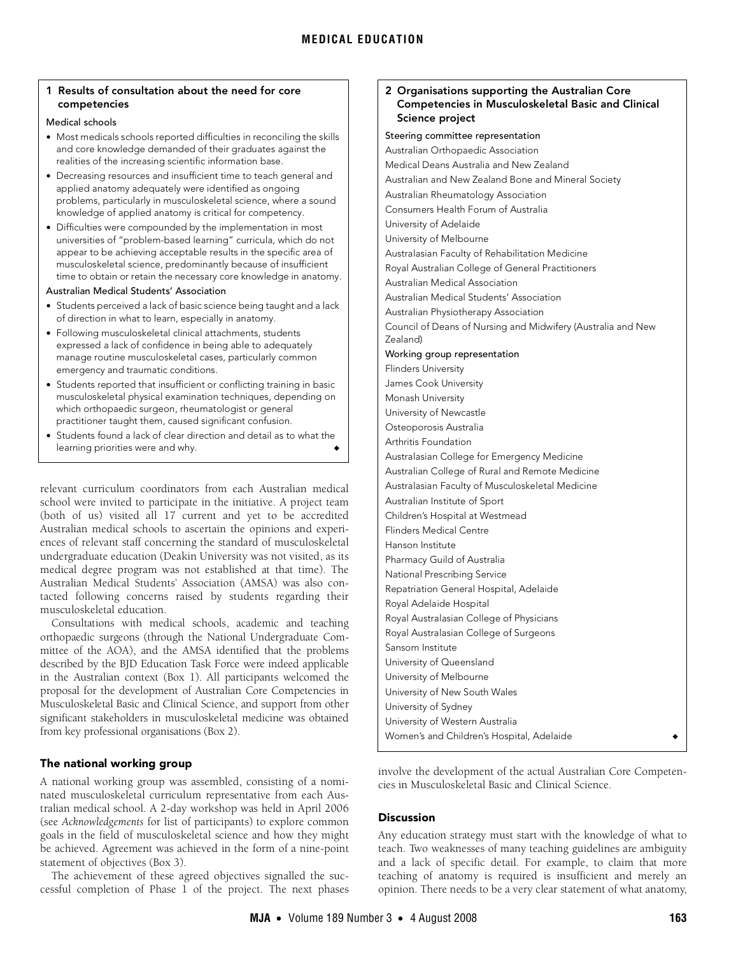## 1 Results of consultation about the need for core competencies

#### Medical schools

- Most medicals schools reported difficulties in reconciling the skills and core knowledge demanded of their graduates against the realities of the increasing scientific information base.
- Decreasing resources and insufficient time to teach general and applied anatomy adequately were identified as ongoing problems, particularly in musculoskeletal science, where a sound knowledge of applied anatomy is critical for competency.
- Difficulties were compounded by the implementation in most universities of "problem-based learning" curricula, which do not appear to be achieving acceptable results in the specific area of musculoskeletal science, predominantly because of insufficient time to obtain or retain the necessary core knowledge in anatomy.
- Australian Medical Students' Association
- Students perceived a lack of basic science being taught and a lack of direction in what to learn, especially in anatomy.
- Following musculoskeletal clinical attachments, students expressed a lack of confidence in being able to adequately manage routine musculoskeletal cases, particularly common emergency and traumatic conditions.
- Students reported that insufficient or conflicting training in basic musculoskeletal physical examination techniques, depending on which orthopaedic surgeon, rheumatologist or general practitioner taught them, caused significant confusion.
- Students found a lack of clear direction and detail as to what the learning priorities were and why.

relevant curriculum coordinators from each Australian medical school were invited to participate in the initiative. A project team (both of us) visited all 17 current and yet to be accredited Australian medical schools to ascertain the opinions and experiences of relevant staff concerning the standard of musculoskeletal undergraduate education (Deakin University was not visited, as its medical degree program was not established at that time). The Australian Medical Students' Association (AMSA) was also contacted following concerns raised by students regarding their musculoskeletal education.

Consultations with medical schools, academic and teaching orthopaedic surgeons (through the National Undergraduate Committee of the AOA), and the AMSA identified that the problems described by the BJD Education Task Force were indeed applicable in the Australian context (Box 1). All participants welcomed the proposal for the development of Australian Core Competencies in Musculoskeletal Basic and Clinical Science, and support from other significant stakeholders in musculoskeletal medicine was obtained from key professional organisations (Box 2).

# The national working group

A national working group was assembled, consisting of a nominated musculoskeletal curriculum representative from each Australian medical school. A 2-day workshop was held in April 2006 (see *Acknowledgements* for list of participants) to explore common goals in the field of musculoskeletal science and how they might be achieved. Agreement was achieved in the form of a nine-point statement of objectives (Box 3).

The achievement of these agreed objectives signalled the successful completion of Phase 1 of the project. The next phases

## 2 Organisations supporting the Australian Core Competencies in Musculoskeletal Basic and Clinical Science project

Steering committee representation Australian Orthopaedic Association Medical Deans Australia and New Zealand Australian and New Zealand Bone and Mineral Society Australian Rheumatology Association Consumers Health Forum of Australia University of Adelaide University of Melbourne Australasian Faculty of Rehabilitation Medicine Royal Australian College of General Practitioners Australian Medical Association Australian Medical Students' Association Australian Physiotherapy Association Council of Deans of Nursing and Midwifery (Australia and New Zealand) Working group representation Flinders University James Cook University Monash University University of Newcastle Osteoporosis Australia Arthritis Foundation Australasian College for Emergency Medicine Australian College of Rural and Remote Medicine Australasian Faculty of Musculoskeletal Medicine Australian Institute of Sport Children's Hospital at Westmead Flinders Medical Centre Hanson Institute Pharmacy Guild of Australia National Prescribing Service Repatriation General Hospital, Adelaide Royal Adelaide Hospital Royal Australasian College of Physicians Royal Australasian College of Surgeons Sansom Institute University of Queensland University of Melbourne University of New South Wales University of Sydney University of Western Australia Women's and Children's Hospital, Adelaide

involve the development of the actual Australian Core Competencies in Musculoskeletal Basic and Clinical Science.

# **Discussion**

Any education strategy must start with the knowledge of what to teach. Two weaknesses of many teaching guidelines are ambiguity and a lack of specific detail. For example, to claim that more teaching of anatomy is required is insufficient and merely an opinion. There needs to be a very clear statement of what anatomy,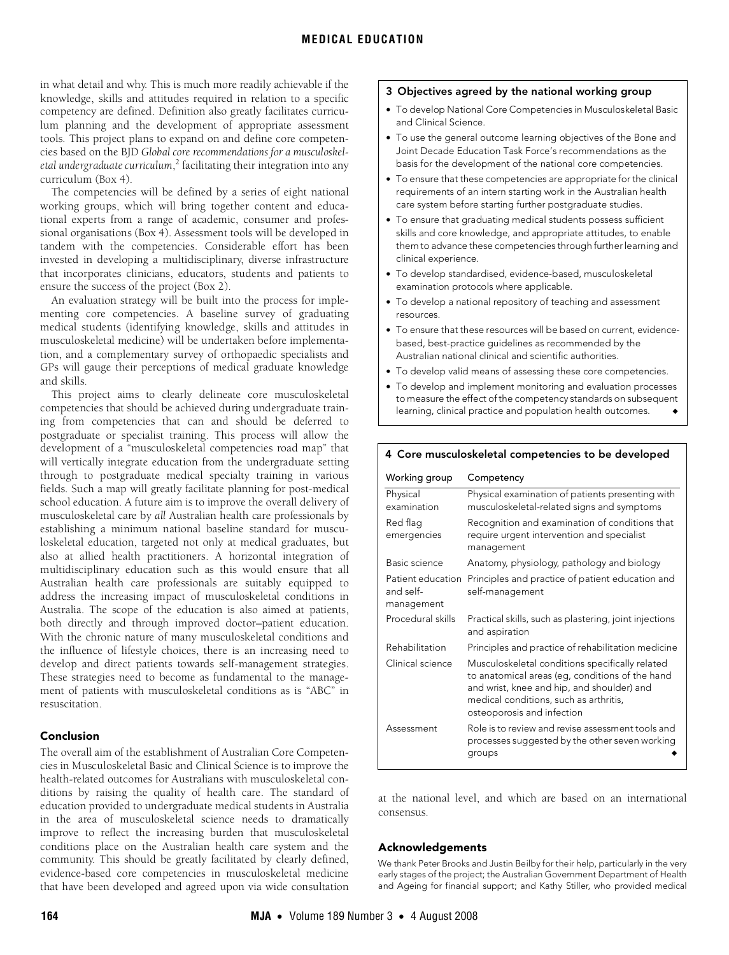# **MEDICAL EDUCATION**

in what detail and why. This is much more readily achievable if the knowledge, skills and attitudes required in relation to a specific competency are defined. Definition also greatly facilitates curriculum planning and the development of appropriate assessment tools. This project plans to expand on and define core competencies based on the BJD *Global core recommendations for a musculoskeletal undergraduate curriculum*, [2](#page-3-5) facilitating their integration into any curriculum (Box 4).

The competencies will be defined by a series of eight national working groups, which will bring together content and educational experts from a range of academic, consumer and professional organisations (Box 4). Assessment tools will be developed in tandem with the competencies. Considerable effort has been invested in developing a multidisciplinary, diverse infrastructure that incorporates clinicians, educators, students and patients to ensure the success of the project (Box 2).

An evaluation strategy will be built into the process for implementing core competencies. A baseline survey of graduating medical students (identifying knowledge, skills and attitudes in musculoskeletal medicine) will be undertaken before implementation, and a complementary survey of orthopaedic specialists and GPs will gauge their perceptions of medical graduate knowledge and skills.

This project aims to clearly delineate core musculoskeletal competencies that should be achieved during undergraduate training from competencies that can and should be deferred to postgraduate or specialist training. This process will allow the development of a "musculoskeletal competencies road map" that will vertically integrate education from the undergraduate setting through to postgraduate medical specialty training in various fields. Such a map will greatly facilitate planning for post-medical school education. A future aim is to improve the overall delivery of musculoskeletal care by *all* Australian health care professionals by establishing a minimum national baseline standard for musculoskeletal education, targeted not only at medical graduates, but also at allied health practitioners. A horizontal integration of multidisciplinary education such as this would ensure that all Australian health care professionals are suitably equipped to address the increasing impact of musculoskeletal conditions in Australia. The scope of the education is also aimed at patients, both directly and through improved doctor–patient education. With the chronic nature of many musculoskeletal conditions and the influence of lifestyle choices, there is an increasing need to develop and direct patients towards self-management strategies. These strategies need to become as fundamental to the management of patients with musculoskeletal conditions as is "ABC" in resuscitation.

# Conclusion

The overall aim of the establishment of Australian Core Competencies in Musculoskeletal Basic and Clinical Science is to improve the health-related outcomes for Australians with musculoskeletal conditions by raising the quality of health care. The standard of education provided to undergraduate medical students in Australia in the area of musculoskeletal science needs to dramatically improve to reflect the increasing burden that musculoskeletal conditions place on the Australian health care system and the community. This should be greatly facilitated by clearly defined, evidence-based core competencies in musculoskeletal medicine that have been developed and agreed upon via wide consultation

#### 3 Objectives agreed by the national working group

- To develop National Core Competencies in Musculoskeletal Basic and Clinical Science.
- To use the general outcome learning objectives of the Bone and Joint Decade Education Task Force's recommendations as the basis for the development of the national core competencies.
- To ensure that these competencies are appropriate for the clinical requirements of an intern starting work in the Australian health care system before starting further postgraduate studies.
- To ensure that graduating medical students possess sufficient skills and core knowledge, and appropriate attitudes, to enable them to advance these competencies through further learning and clinical experience.
- To develop standardised, evidence-based, musculoskeletal examination protocols where applicable.
- To develop a national repository of teaching and assessment resources.
- To ensure that these resources will be based on current, evidencebased, best-practice guidelines as recommended by the Australian national clinical and scientific authorities.
- To develop valid means of assessing these core competencies.

4 Core musculoskeletal competencies to be developed

• To develop and implement monitoring and evaluation processes to measure the effect of the competency standards on subsequent learning, clinical practice and population health outcomes.

| Working group                                | Competency                                                                                                                                                                                                               |
|----------------------------------------------|--------------------------------------------------------------------------------------------------------------------------------------------------------------------------------------------------------------------------|
| Physical<br>examination                      | Physical examination of patients presenting with<br>musculoskeletal-related signs and symptoms                                                                                                                           |
| Red flag<br>emergencies                      | Recognition and examination of conditions that<br>require urgent intervention and specialist<br>management                                                                                                               |
| Basic science                                | Anatomy, physiology, pathology and biology                                                                                                                                                                               |
| Patient education<br>and self-<br>management | Principles and practice of patient education and<br>self-management                                                                                                                                                      |
| Procedural skills                            | Practical skills, such as plastering, joint injections<br>and aspiration                                                                                                                                                 |
| Rehabilitation                               | Principles and practice of rehabilitation medicine                                                                                                                                                                       |
| Clinical science                             | Musculoskeletal conditions specifically related<br>to anatomical areas (eg, conditions of the hand<br>and wrist, knee and hip, and shoulder) and<br>medical conditions, such as arthritis,<br>osteoporosis and infection |
| Assessment                                   | Role is to review and revise assessment tools and<br>processes suggested by the other seven working<br>groups                                                                                                            |

at the national level, and which are based on an international consensus.

#### Acknowledgements

We thank Peter Brooks and Justin Beilby for their help, particularly in the very early stages of the project; the Australian Government Department of Health and Ageing for financial support; and Kathy Stiller, who provided medical